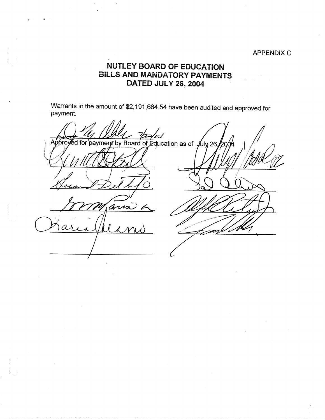## APPENDIX C

## **NUTLEY BOARD OF EDUCATION BILLS AND MANDATORY PAYMENTS DATED JULY26, 2004**

Warrants in the amount of \$2,191,684.54 have been audited and approved for payment.

**cation of the Contract of School Approved for payment by Board of Education as of yuly 26** '~ ans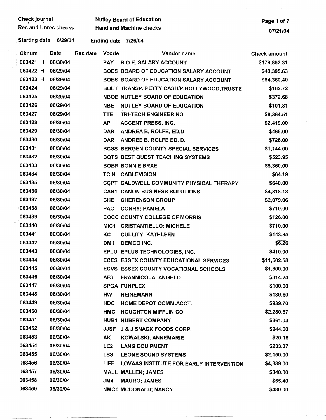| Check journal               | <b>Nutley E</b> |
|-----------------------------|-----------------|
| <b>Rec and Unrec checks</b> | Hand an         |

 $\mathsf B$ oard of Education  $\mathsf P$ age 1 of 7

. Starting date 6/29/04 Ending date 7/26/04

| Cknum    | Date     | Rec date | <b>Vcode</b>     | Vendor name                                | <b>Check amount</b> |
|----------|----------|----------|------------------|--------------------------------------------|---------------------|
| 063421 H | 06/30/04 |          | <b>PAY</b>       | <b>B.O.E. SALARY ACCOUNT</b>               | \$179,852.31        |
| 063422 H | 06/29/04 |          |                  | BOES BOARD OF EDUCATION SALARY ACCOUNT     | \$40,395.63         |
| 063423 H | 06/29/04 |          |                  | BOES BOARD OF EDUCATION SALARY ACCOUNT     | \$84,360.40         |
| 063424   | 06/29/04 |          |                  | BOET TRANSP. PETTY CASH/P.HOLLYWOOD,TRUSTE | \$162.72            |
| 063425   | 06/29/04 |          |                  | <b>NBOE NUTLEY BOARD OF EDUCATION</b>      | \$372.68            |
| 063426   | 06/29/04 |          | <b>NBE</b>       | <b>NUTLEY BOARD OF EDUCATION</b>           | \$101.81            |
| 063427   | 06/29/04 |          | <b>TTE</b>       | <b>TRI-TECH ENGINEERING</b>                | \$8,364.51          |
| 063428   | 06/30/04 |          | <b>API</b>       | <b>ACCENT PRESS, INC.</b>                  | \$2,419.00          |
| 063429   | 06/30/04 |          | <b>DAR</b>       | ANDREA B. ROLFE, ED.D                      | \$465.00            |
| 063430   | 06/30/04 |          | <b>DAR</b>       | ANDREE B. ROLFE ED. D.                     | \$726.00            |
| 063431   | 06/30/04 |          |                  | <b>BCSS BERGEN COUNTY SPECIAL SERVICES</b> | \$1,144.00          |
| 063432   | 06/30/04 |          |                  | BQTS BEST QUEST TEACHING SYSTEMS           | \$523.95            |
| 063433   | 06/30/04 |          |                  | <b>BOBF BONNIE BRAE</b>                    | \$5,360.00          |
| 063434   | 06/30/04 |          | <b>TCIN</b>      | <b>CABLEVISION</b>                         | \$64.19             |
| 063435   | 06/30/04 |          |                  | CCPT CALDWELL COMMUNITY PHYSICAL THERAPY   | \$640.00            |
| 063436   | 06/30/04 |          |                  | <b>CAN1 CANON BUSINESS SOLUTIONS</b>       | \$4,818.13          |
| 063437   | 06/30/04 |          | <b>CHE</b>       | <b>CHERENSON GROUP</b>                     | \$2,079.06          |
| 063438   | 06/30/04 |          | <b>PAC</b>       | <b>CONRY; PAMELA</b>                       | \$710.00            |
| 063439   | 06/30/04 |          |                  | <b>COCC COUNTY COLLEGE OF MORRIS</b>       | \$126.00            |
| 063440   | 06/30/04 |          | MIC <sub>1</sub> | <b>CRISTANTIELLO; MICHELE</b>              | \$710.00            |
| 063441   | 06/30/04 |          | KC               | <b>CULLITY; KATHLEEN</b>                   | \$143.35            |
| 063442   | 06/30/04 |          | DM1              | <b>DEMCO INC.</b>                          | \$6.26              |
| 063443   | 06/30/04 |          |                  | EPLU EPLUS TECHNOLOGIES, INC.              | \$410.00            |
| 063444   | 06/30/04 |          |                  | ECES ESSEX COUNTY EDUCATIONAL SERVICES     | \$11,502.58         |
| 063445   | 06/30/04 |          |                  | ECVS ESSEX COUNTY VOCATIONAL SCHOOLS       | \$1,800.00          |
| 063446   | 06/30/04 |          | AF <sub>3</sub>  | FRANNICOLA; ANGELO                         | \$814.24            |
| 063447   | 06/30/04 |          |                  | SPGA FUNPLEX                               | \$100.00            |
| 063448   | 06/30/04 |          | HW               | <b>HEINEMANN</b>                           | \$139.60            |
| 063449   | 06/30/04 |          | <b>HDC</b>       | HOME DEPOT COMM.ACCT.                      | \$939.70            |
| 063450   | 06/30/04 |          | <b>HMC</b>       | <b>HOUGHTON MIFFLIN CO.</b>                | \$2,280.87          |
| 063451   | 06/30/04 |          |                  | <b>HUB1 HUBERT COMPANY</b>                 | \$361.03            |
| 063452   | 06/30/04 |          | <b>JJSF</b>      | <b>J &amp; J SNACK FOODS CORP.</b>         | \$944.00            |
| 063453   | 06/30/04 |          | AK               | <b>KOWALSKI; ANNEMARIE</b>                 | \$20.16             |
| 063454   | 06/30/04 |          | LE <sub>2</sub>  | <b>LANG EQUIPMENT</b>                      | \$233.37            |
| 063455   | 06/30/04 |          | <b>LSS</b>       | <b>LEONE SOUND SYSTEMS</b>                 | \$2,150.00          |
| )63456   | 06/30/04 |          | <b>LIFE</b>      | LOVAAS INSTITUTE FOR EARLY INTERVENTION    | \$4,389.00          |
| )63457   | 06/30/04 |          |                  | <b>MALL MALLEN; JAMES</b>                  | \$340.00            |
| 063458   | 06/30/04 |          | JM4              | <b>MAURO; JAMES</b>                        | \$55.40             |
| 063459   | 06/30/04 |          |                  | NMC1 MCDONALD; NANCY                       | \$480.00            |

-------------·-----~--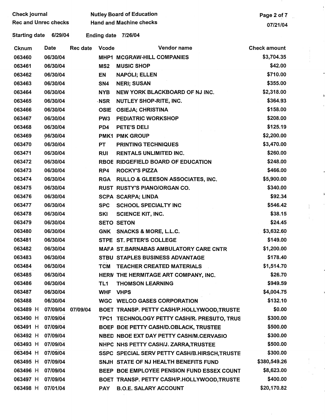| Check journal               |                   |                 |                    | <b>Nutley Board of Education</b>              | Page 2 of 7         |
|-----------------------------|-------------------|-----------------|--------------------|-----------------------------------------------|---------------------|
| <b>Rec and Unrec checks</b> |                   |                 |                    | <b>Hand and Machine checks</b>                | 07/21/04            |
| <b>Starting date</b>        | 6/29/04           |                 | <b>Ending date</b> | 7/26/04                                       |                     |
| Cknum                       | Date              | <b>Rec date</b> | <b>Vcode</b>       | Vendor name                                   | <b>Check amount</b> |
| 063460                      | 06/30/04          |                 |                    | MHP1 MCGRAW-HILL COMPANIES                    | \$3,704.35          |
| 063461                      | 06/30/04          |                 | MS <sub>2</sub>    | <b>MUSIC SHOP</b>                             | \$42.00             |
| 063462                      | 06/30/04          |                 | EN                 | <b>NAPOLI; ELLEN</b>                          | \$710.00            |
| 063463                      | 06/30/04          |                 | SN4                | <b>NERI; SUSAN</b>                            | \$355.00            |
| 063464                      | 06/30/04          |                 | <b>NYB</b>         | NEW YORK BLACKBOARD OF NJ INC.                | \$2,318.00          |
| 063465                      | 06/30/04          |                 | <b>NSR</b>         | <b>NUTLEY SHOP-RITE, INC.</b>                 | \$364.93            |
| 063466                      | 06/30/04          |                 | <b>OSIE</b>        | <b>OSIEJA; CHRISTINA</b>                      | \$158.00            |
| 063467                      | 06/30/04          |                 | PW <sub>3</sub>    | PEDIATRIC WORKSHOP                            | \$208.00            |
| 063468                      | 06/30/04          |                 | PD4                | PETE'S DELI                                   | \$125.19            |
| 063469                      | 06/30/04          |                 |                    | <b>PMK1 PMK GROUP</b>                         | \$2,200.00          |
| 063470                      | 06/30/04          |                 | <b>PT</b>          | <b>PRINTING TECHNIQUES</b>                    | \$3,470.00          |
| 063471                      | 06/30/04          |                 | <b>RUI</b>         | <b>RENTALS UNLIMITED INC.</b>                 | \$260.00            |
| 063472                      | 06/30/04          |                 |                    | RBOE RIDGEFIELD BOARD OF EDUCATION            | \$248.00            |
| 063473                      | 06/30/04          |                 | RP4                | <b>ROCKY'S PIZZA</b>                          | \$466.00            |
| 063474                      | 06/30/04          |                 | <b>RGA</b>         | RULLO & GLEESON ASSOCIATES, INC.              | \$5,900.00          |
| 063475                      | 06/30/04          |                 |                    | RUST RUSTY'S PIANO/ORGAN CO.                  | \$340.00            |
| 063476                      | 06/30/04          |                 |                    | <b>SCPA SCARPA; LINDA</b>                     | \$92.34             |
| 063477                      | 06/30/04          |                 | <b>SPC</b>         | <b>SCHOOL SPECIALTY INC</b>                   | \$546.42            |
| 063478                      | 06/30/04          |                 | <b>SKI</b>         | <b>SCIENCE KIT, INC.</b>                      | \$38.15             |
| 063479                      | 06/30/04          |                 |                    | <b>SETO SETON</b>                             | \$24.45             |
| 063480                      | 06/30/04          |                 | <b>GNK</b>         | <b>SNACKS &amp; MORE, L.L.C.</b>              | \$3,632.60          |
| 063481                      | 06/30/04          |                 |                    | STPE ST. PETER'S COLLEGE                      | \$149.00            |
| 063482                      | 06/30/04          |                 |                    | <b>MAFA ST.BARNABAS AMBULATORY CARE CNTR</b>  | \$1,200.00          |
| 063483                      | 06/30/04          |                 |                    | <b>STBU STAPLES BUSINESS ADVANTAGE</b>        | \$178.40            |
| 063484                      | 06/30/04          |                 | <b>TCM</b>         | <b>TEACHER CREATED MATERIALS</b>              | \$1,514.70          |
| 063485                      | 06/30/04          |                 |                    | HERN THE HERMITAGE ART COMPANY, INC.          | \$26.70             |
| 063486                      | 06/30/04          |                 | TL1                | <b>THOMSON LEARNING</b>                       | \$949.59            |
| 063487                      | 06/30/04          |                 | <b>WHF</b>         | <b>VHPS</b>                                   | \$4,004.75          |
| 063488                      | 06/30/04          |                 |                    | WGC WELCO GASES CORPORATION                   | \$132.10            |
| 063489 H                    | 07/09/04 07/09/04 |                 |                    | BOET TRANSP. PETTY CASH/P.HOLLYWOOD,TRUSTE    | \$0.00              |
| 063490 H                    | 07/09/04          |                 |                    | TPC1 TECHNOLOGY PETTY CASH/R. PRESUTO, TRUS   | \$300.00            |
| 063491 H                    | 07/09/04          |                 |                    | BOEP BOE PETTY CASH/D.OBLACK, TRUSTEE         | \$500.00            |
| 063492 H                    | 07/09/04          |                 |                    | NBED NBOE EXT DAY PETTY CASH/M.CERVASIO       | \$300.00            |
| 063493 H                    | 07/09/04          |                 |                    | NHPC NHS PETTY CASH/J. ZARRA, TRUSTEE         | \$500.00            |
| 063494 H                    | 07/09/04          |                 |                    | SSPC SPECIAL SERV PETTY CASH/B.HIRSCH, TRUSTE | \$300.00            |
| 063495 H                    | 07/09/04          |                 |                    | SNJH STATE OF NJ HEALTH BENEFITS FUND         | \$380,549.26        |
| 063496 H                    | 07/09/04          |                 |                    | BEEP BOE EMPLOYEE PENSION FUND ESSEX COUNT    | \$8,623.00          |
| 063497 H                    | 07/09/04          |                 |                    | BOET TRANSP. PETTY CASH/P.HOLLYWOOD,TRUSTE    | \$400.00            |
| 063498 H                    | 07/01/04          |                 | <b>PAY</b>         | <b>B.O.E. SALARY ACCOUNT</b>                  | \$20,170.82         |

 $\frac{1}{2}$ 

 $\mathbb{R}^2$ 

 $\mathcal{A}^{\mathcal{A}}$  $\begin{pmatrix} 1 & & & \\ & 1 & & \\ & & -1 & \\ & & -1 & \\ & & & -1 & \\ & & & -1 & \\ & & & -1 & \\ & & & & -1 & \\ & & & & -1 & \\ & & & & -1 & \\ & & & & -1 & \\ & & & & -1 & \\ & & & & -1 & \\ & & & & -1 & \\ & & & & -1 & \\ & & & & -1 & \\ & & & & -1 & \\ & & & & -1 & \\ & & & & -1 & \\ & & & & -1 & \\ & & & & -1 & \\ & & & & -1 & \\ & & & & -1 & \\ & & & & -1 & \\ & & & & -1 & \\ & & & & -1 & \\ & & & & -1 & \\ & & & & -1 & \\ &$ 

 $\hat{\boldsymbol{\gamma}}$ 

 $\downarrow$   $\downarrow$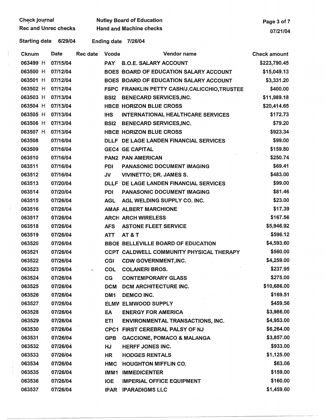| Check journal               |          |                          |                 | <b>Nutley Board of Education</b>              | Page 3 of 7         |
|-----------------------------|----------|--------------------------|-----------------|-----------------------------------------------|---------------------|
| <b>Rec and Unrec checks</b> |          |                          |                 | <b>Hand and Machine checks</b>                | 07/21/04            |
| <b>Starting date</b>        | 6/29/04  |                          |                 | Ending date 7/26/04                           |                     |
| Cknum                       | Date     | Rec date                 | <b>Vcode</b>    | Vendor name                                   | <b>Check amount</b> |
| 063499 H                    | 07/15/04 |                          | <b>PAY</b>      | <b>B.O.E. SALARY ACCOUNT</b>                  | \$223,790.45        |
| 063500 H                    | 07/12/04 |                          |                 | BOES BOARD OF EDUCATION SALARY ACCOUNT        | \$15,049.13         |
| 063501 H                    | 07/12/04 |                          |                 | BOES BOARD OF EDUCATION SALARY ACCOUNT        | \$3,331.20          |
| 063502 H                    | 07/12/04 |                          |                 | FSPC FRANKLIN PETTY CASH/J.CALICCHIO, TRUSTEE | \$400.00            |
| 063503 H                    | 07/13/04 |                          | <b>BSI2</b>     | <b>BENECARD SERVICES, INC.</b>                | \$11,989.18         |
| 063504 H                    | 07/13/04 |                          |                 | <b>HBCE HORIZON BLUE CROSS</b>                | \$20,414.65         |
| 063505 H                    | 07/13/04 |                          | <b>IHS</b>      | <b>INTERNATIONAL HEALTHCARE SERVICES</b>      | \$172.73            |
| 063506 H                    | 07/13/04 |                          | <b>BSI2</b>     | <b>BENECARD SERVICES, INC.</b>                | \$79.20             |
| 063507 H                    | 07/13/04 |                          |                 | <b>HBCB HORIZON BLUE CROSS</b>                | \$923.34            |
| 063508                      | 07/16/04 |                          |                 | DLLF DE LAGE LANDEN FINANCIAL SERVICES        | \$99.00             |
| 063509                      | 07/16/04 |                          |                 | <b>GEC4 GE CAPITAL</b>                        | \$159.80            |
| 063510                      | 07/16/04 |                          |                 | PAN2 PAN AMERICAN                             | \$250.74            |
| 063511                      | 07/16/04 |                          | PDI             | PANASONIC DOCUMENT IMAGING                    | \$69.41             |
| 063512                      | 07/16/04 |                          | JV              | <b>VIVINETTO; DR. JAMES S.</b>                | \$483.00            |
| 063513                      | 07/20/04 |                          | <b>DLLF</b>     | DE LAGE LANDEN FINANCIAL SERVICES             | \$99.00             |
| 063514                      | 07/20/04 |                          | <b>PDI</b>      | PANASONIC DOCUMENT IMAGING                    | \$81.46             |
| 063515                      | 07/26/04 |                          | <b>AGL</b>      | AGL WELDING SUPPLY CO. INC.                   | \$23.00             |
| 063516                      | 07/26/04 |                          |                 | AMAF ALBERT MARCHIONE                         | \$17.39             |
| 063517                      | 07/26/04 |                          |                 | <b>ARCH ARCH WIRELESS</b>                     | \$167.56            |
| 063518                      | 07/26/04 |                          | <b>AFS</b>      | <b>ASTONE FLEET SERVICE</b>                   | \$5,946.92          |
| 063519                      | 07/26/04 |                          | <b>ATT</b>      | AT&T                                          | \$596.12            |
| 063520                      | 07/26/04 |                          |                 | BBOE BELLEVILLE BOARD OF EDUCATION            | \$4,593.60          |
| 063521                      | 07/26/04 |                          |                 | CCPT CALDWELL COMMUNITY PHYSICAL THERAPY      | \$560.00            |
| 063522                      | 07/26/04 |                          | CGI             | <b>CDW GOVERNMENT, INC.</b>                   | \$4,259.00          |
| 063523                      | 07/26/04 | $\mathcal{L}_\mathbf{q}$ | COL             | <b>COLANERI BROS.</b>                         | \$237.95            |
| 063524                      | 07/26/04 |                          | CG              | <b>CONTEMPORARY GLASS</b>                     | \$275.00            |
| 063525                      | 07/26/04 |                          | <b>DCM</b>      | <b>DCM ARCHITECTURE INC.</b>                  | \$10,686.00         |
| 063526                      | 07/26/04 |                          | DM <sub>1</sub> | <b>DEMCO INC.</b>                             | \$169.51            |
| 063527                      | 07/26/04 |                          |                 | <b>ELMV ELMWOOD SUPPLY</b>                    | \$459.56            |
| 063528                      | 07/26/04 |                          | EA              | <b>ENERGY FOR AMERICA</b>                     | \$3,986.00          |
| 063529                      | 07/26/04 |                          | <b>ETI</b>      | <b>ENVIRONMENTAL TRANSACTIONS, INC.</b>       | \$4,953.00          |
| 063530                      | 07/26/04 |                          | CPC1            | FIRST CEREBRAL PALSY OF NJ                    | \$6,264.00          |
| 063531                      | 07/26/04 |                          | <b>GPB</b>      | <b>GACCIONE, POMACO &amp; MALANGA</b>         | \$3,857.00          |
| 063532                      | 07/26/04 |                          | <b>HJ</b>       | <b>HERFF JONES INC.</b>                       | \$933.00            |
| 063533                      | 07/26/04 |                          | HR <sup>-</sup> | <b>HODGES RENTALS</b>                         | \$1,125.00          |
| 063534                      | 07/26/04 |                          | <b>HMC</b>      | <b>HOUGHTON MIFFLIN CO.</b>                   | \$63.06             |
| 063535                      | 07/26/04 |                          | IMM1            | <b>IMMEDICENTER</b>                           | \$159.00            |
| 063536                      | 07/26/04 |                          | <b>IOE</b>      | <b>IMPERIAL OFFICE EQUIPMENT</b>              | \$160.00            |
| 063537                      | 07/26/04 |                          | <b>IPAR</b>     | <b>IPARADIGMS LLC</b>                         | \$1,459.60          |

 $\begin{array}{c} 1 \\ 1 \\ 1 \end{array}$ 

 $\hat{\mathcal{E}}$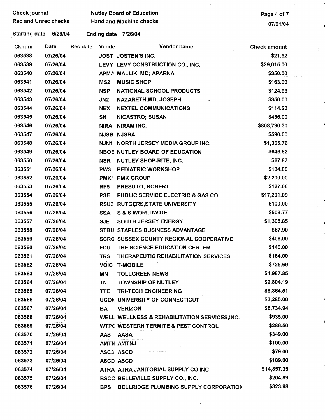| Check journal               |          |          |                 | <b>Nutley Board of Education</b>               | Page 4 of 7         |  |
|-----------------------------|----------|----------|-----------------|------------------------------------------------|---------------------|--|
| <b>Rec and Unrec checks</b> |          |          |                 | <b>Hand and Machine checks</b>                 | 07/21/04            |  |
| <b>Starting date</b>        | 6/29/04  |          |                 | Ending date 7/26/04                            |                     |  |
| Cknum                       | Date     | Rec date | <b>Vcode</b>    | Vendor name                                    | <b>Check amount</b> |  |
| 063538                      | 07/26/04 |          |                 | JOST JOSTEN'S INC.                             | \$21.52             |  |
| 063539                      | 07/26/04 |          |                 | LEVY LEVY CONSTRUCTION CO., INC.               | \$29,015.00         |  |
| 063540                      | 07/26/04 |          |                 | APMA MALLIK, MD; APARNA                        | \$350.00            |  |
| 063541                      | 07/26/04 |          | MS <sub>2</sub> | <b>MUSIC SHOP</b>                              | \$163.00            |  |
| 063542                      | 07/26/04 |          | <b>NSP</b>      | <b>NATIONAL SCHOOL PRODUCTS</b>                | \$124.93            |  |
| 063543                      | 07/26/04 |          | JN <sub>2</sub> | NAZARETH, MD; JOSEPH                           | \$350.00            |  |
| 063544                      | 07/26/04 |          | <b>NEX</b>      | <b>NEXTEL COMMUNICATIONS</b>                   | \$114.23            |  |
| 063545                      | 07/26/04 |          | SN              | <b>NICASTRO; SUSAN</b>                         | \$456.00            |  |
| 063546                      | 07/26/04 |          | NIRA            | <b>NIRAM INC.</b>                              | \$808,790.30        |  |
| 063547                      | 07/26/04 |          |                 | <b>NJSB NJSBA</b>                              | \$590.00            |  |
| 063548                      | 07/26/04 |          |                 | NJN1 NORTH JERSEY MEDIA GROUP INC.             | \$1,365.76          |  |
| 063549                      | 07/26/04 |          |                 | <b>NBOE NUTLEY BOARD OF EDUCATION</b>          | \$646.82            |  |
| 063550                      | 07/26/04 |          | <b>NSR</b>      | NUTLEY SHOP-RITE, INC.                         | \$67.87             |  |
| 063551                      | 07/26/04 |          | PW <sub>3</sub> | <b>PEDIATRIC WORKSHOP</b>                      | \$104.00            |  |
| 063552                      | 07/26/04 |          |                 | PMK1 PMK GROUP                                 | \$2,200.00          |  |
| 063553                      | 07/26/04 |          | RP <sub>5</sub> | <b>PRESUTO; ROBERT</b>                         | \$127.08            |  |
| 063554                      | 07/26/04 |          | <b>PSE</b>      | PUBLIC SERVICE ELECTRIC & GAS CO.              | \$17,291.09         |  |
| 063555                      | 07/26/04 |          |                 | RSU3 RUTGERS, STATE UNIVERSITY                 | \$100.00            |  |
| 063556                      | 07/26/04 |          | <b>SSA</b>      | <b>S &amp; S WORLDWIDE</b>                     | \$509.77            |  |
| 063557                      | 07/26/04 |          | <b>SJE</b>      | <b>SOUTH JERSEY ENERGY</b>                     | \$1,305.85          |  |
| 063558                      | 07/26/04 |          |                 | STBU STAPLES BUSINESS ADVANTAGE                | \$67.90             |  |
| 063559                      | 07/26/04 |          |                 | <b>SCRC SUSSEX COUNTY REGIONAL COOPERATIVE</b> | \$408.00            |  |
| 063560                      | 07/26/04 |          |                 | FDU THE SCIENCE EDUCATION CENTER               | \$140.00            |  |
| 063561                      | 07/26/04 |          | <b>TRS</b>      | THERAPEUTIC REHABILITATION SERVICES            | \$164.00            |  |
| 063562                      | 07/26/04 |          |                 | <b>VOIC T-MOBILE</b>                           | \$725.69            |  |
| 063563                      | 07/26/04 |          | ΜN              | <b>TOLLGREEN NEWS</b>                          | \$1,987.85          |  |
| 063564                      | 07/26/04 |          | TN              | <b>TOWNSHIP OF NUTLEY</b>                      | \$2,804.19          |  |
| 063565                      | 07/26/04 |          | <b>TTE</b>      | <b>TRI-TECH ENGINEERING</b>                    | \$8,364.51          |  |
| 063566                      | 07/26/04 |          |                 | <b>UCON UNIVERSITY OF CONNECTICUT</b>          | \$3,285.00          |  |
| 063567                      | 07/26/04 |          | BA              | <b>VERIZON</b>                                 | \$8,734.94          |  |
| 063568                      | 07/26/04 |          |                 | WELL WELLNESS & REHABILITATION SERVICES, INC.  | \$935.00            |  |
| 063569                      | 07/26/04 |          |                 | WTPC WESTERN TERMITE & PEST CONTROL            | \$286.50            |  |
| 063570                      | 07/26/04 |          | AAS             | AASA                                           | \$349.00            |  |
| 063571                      | 07/26/04 |          |                 | AMTN AMTNJ                                     | \$100.00            |  |
| 063572                      | 07/26/04 |          |                 | ASC3 ASCD                                      | \$79.00             |  |
| 063573                      | 07/26/04 |          |                 | <b>ASCD ASCD</b>                               | \$189.00            |  |
| 063574                      | 07/26/04 |          |                 | ATRA ATRA JANITORIAL SUPPLY CO INC             | \$14,857.35         |  |
| 063575                      | 07/26/04 |          |                 | BSCC BELLEVILLE SUPPLY CO., INC.               | \$204.89            |  |
| 063576                      | 07/26/04 |          | <b>BPS</b>      | BELLRIDGE PLUMBING SUPPLY CORPORATION          | \$323.98            |  |

 $\mathcal{L}_{\text{max}}$  and  $\mathcal{L}_{\text{max}}$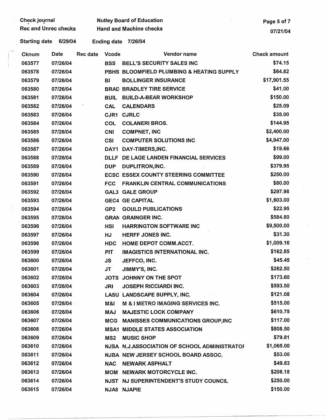| Check journal               |          |          |                    | <b>Nutley Board of Education</b>             | Page 5 of 7         |
|-----------------------------|----------|----------|--------------------|----------------------------------------------|---------------------|
| <b>Rec and Unrec checks</b> |          |          |                    | <b>Hand and Machine checks</b>               | 07/21/04            |
| <b>Starting date</b>        | 6/29/04  |          | <b>Ending date</b> | 7/26/04                                      |                     |
| Cknum                       | Date     | Rec date | <b>Vcode</b>       | Vendor name                                  | <b>Check amount</b> |
| 063577                      | 07/26/04 |          | <b>BSS</b>         | BELL'S SECURITY SALES INC                    | \$74.15             |
| 063578                      | 07/26/04 |          |                    | PBHS BLOOMFIELD PLUMBING & HEATING SUPPLY    | \$64.82             |
| 063579                      | 07/26/04 |          | BI                 | <b>BOLLINGER INSURANCE</b>                   | \$17,901.55         |
| 063580                      | 07/26/04 |          |                    | <b>BRAD BRADLEY TIRE SERVICE</b>             | \$41.00             |
| 063581                      | 07/26/04 |          | <b>BUIL</b>        | <b>BUILD-A-BEAR WORKSHOP</b>                 | \$150.00            |
| 063582                      | 07/26/04 |          | <b>CAL</b>         | <b>CALENDARS</b>                             | \$25.09             |
| 063583                      | 07/26/04 |          | CJR1               | <b>CJRLC</b>                                 | \$35.00             |
| 063584                      | 07/26/04 |          | COL                | <b>COLANERI BROS.</b>                        | \$144.95            |
| 063585                      | 07/26/04 |          | <b>CNI</b>         | <b>COMPNET, INC</b>                          | \$2,400.00          |
| 063586                      | 07/26/04 |          | <b>CSI</b>         | <b>COMPUTER SOLUTIONS INC</b>                | \$4,947.00          |
| 063587                      | 07/26/04 |          | DAY1               | DAY-TIMERS, INC.                             | \$19.66             |
| 063588                      | 07/26/04 |          |                    | DLLF DE LAGE LANDEN FINANCIAL SERVICES       | \$99.00             |
| 063589                      | 07/26/04 |          | <b>DUP</b>         | DUPLITRON, INC.                              | \$379.95            |
| 063590                      | 07/26/04 |          |                    | <b>ECSC ESSEX COUNTY STEERING COMMITTEE</b>  | \$250.00            |
| 063591                      | 07/26/04 |          | <b>FCC</b>         | FRANKLIN CENTRAL COMMUNICATIONS              | \$80.00             |
| 063592                      | 07/26/04 |          |                    | <b>GAL3 GALE GROUP</b>                       | \$297.98            |
| 063593                      | 07/26/04 |          |                    | <b>GEC4 GE CAPITAL</b>                       | \$1,603.00          |
| 063594                      | 07/26/04 |          | GP <sub>2</sub>    | <b>GOULD PUBLICATIONS</b>                    | \$22.95             |
| 063595                      | 07/26/04 |          |                    | <b>GRAN GRAINGER INC.</b>                    | \$584.80            |
| 063596                      | 07/26/04 |          | <b>HSI</b>         | <b>HARRINGTON SOFTWARE INC</b>               | \$9,500.00          |
| 063597                      | 07/26/04 |          | HJ                 | <b>HERFF JONES INC.</b>                      | \$31.30             |
| 063598                      | 07/26/04 |          | <b>HDC</b>         | HOME DEPOT COMM.ACCT.                        | \$1,009.16          |
| 063599                      | 07/26/04 |          | <b>PIT</b>         | IMAGISTICS INTERNATIONAL INC.                | \$162.85            |
| 063600                      | 07/26/04 |          | JS                 | JEFFCO, INC.                                 | \$45.45             |
| 063601                      | 07/26/04 |          | <b>JT</b>          | JIMMY'S, INC.                                | \$262.50            |
| 063602                      | 07/26/04 |          |                    | JOTS JOHNNY ON THE SPOT                      | \$173.60            |
| 063603                      | 07/26/04 |          | JRI                | <b>JOSEPH RICCIARDI INC.</b>                 | \$593.50            |
| 063604                      | 07/26/04 |          |                    | LASU LANDSCAPE SUPPLY, INC.                  | \$121.08            |
| 063605                      | 07/26/04 |          | M&I                | M & I METRO IMAGING SERVICES INC.            | \$515.00            |
| 063606                      | 07/26/04 |          | <b>MAJ</b>         | <b>MAJESTIC LOCK COMPANY</b>                 | \$610.75            |
| 063607                      | 07/26/04 |          | MCG                | <b>MANISSES COMMUNICATIONS GROUP, INC</b>    | \$117.00            |
| 063608                      | 07/26/04 |          |                    | <b>MSA1 MIDDLE STATES ASSOCIATION</b>        | \$808.50            |
| 063609                      | 07/26/04 |          | MS <sub>2</sub>    | <b>MUSIC SHOP</b>                            | \$79.81             |
| 063610                      | 07/26/04 |          |                    | NJSA N.J.ASSOCIATION OF SCHOOL ADMINISTRATOR | \$1,065.00          |
| 063611                      | 07/26/04 |          |                    | NJBA NEW JERSEY SCHOOL BOARD ASSOC.          | \$53.00             |
| 063612                      | 07/26/04 |          | <b>NAC</b>         | <b>NEWARK ASPHALT</b>                        | \$49.83             |
| 063613                      | 07/26/04 |          |                    | MOM NEWARK MOTORCYCLE INC.                   | \$208.18            |
| 063614                      | 07/26/04 |          |                    | NJST NJ SUPERINTENDENT'S STUDY COUNCIL       | \$250.00            |
| 063615                      | 07/26/04 |          |                    | NJA8 NJAPIE                                  | \$150.00            |

 $\frac{1}{2}$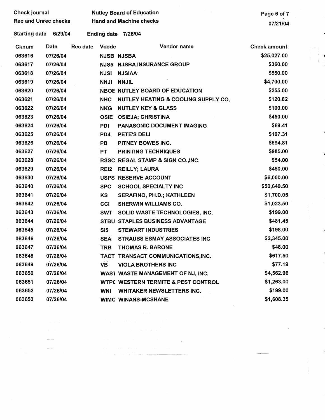| <b>Check journal</b>        |          |                                |                    | <b>Nutley Board of Education</b>    | Page 6 of 7         |
|-----------------------------|----------|--------------------------------|--------------------|-------------------------------------|---------------------|
| <b>Rec and Unrec checks</b> |          | <b>Hand and Machine checks</b> |                    |                                     | 07/21/04            |
| <b>Starting date</b>        | 6/29/04  |                                | <b>Ending date</b> | 7/26/04                             |                     |
| Cknum                       | Date     | Rec date                       | <b>Vcode</b>       | Vendor name                         | <b>Check amount</b> |
| 063616                      | 07/26/04 |                                |                    | <b>NJSB NJSBA</b>                   | \$25,027.00         |
| 063617                      | 07/26/04 |                                |                    | <b>NJS5 NJSBA INSURANCE GROUP</b>   | \$360.00            |
| 063618                      | 07/26/04 |                                | <b>NJSI</b>        | <b>NJSIAA</b>                       | \$850.00            |
| 063619                      | 07/26/04 |                                | <b>NNJI</b>        | <b>NNJIL</b>                        | \$4,700.00          |
| 063620                      | 07/26/04 |                                |                    | NBOE NUTLEY BOARD OF EDUCATION      | \$255.00            |
| 063621                      | 07/26/04 |                                | <b>NHC</b>         | NUTLEY HEATING & COOLING SUPPLY CO. | \$120.82            |
| 063622                      | 07/26/04 |                                | <b>NKG</b>         | <b>NUTLEY KEY &amp; GLASS</b>       | \$100.00            |
| 063623                      | 07/26/04 |                                | <b>OSIE</b>        | <b>OSIEJA; CHRISTINA</b>            | \$450.00            |
| 063624                      | 07/26/04 |                                | <b>PDI</b>         | <b>PANASONIC DOCUMENT IMAGING</b>   | \$69.41             |
| 063625                      | 07/26/04 |                                | PD4                | PETE'S DELI                         | \$197.31            |
| 063626                      | 07/26/04 |                                | PB                 | <b>PITNEY BOWES INC.</b>            | \$594.81            |
| 063627                      | 07/26/04 |                                | <b>PT</b>          | <b>PRINTING TECHNIQUES</b>          | \$985.00            |
| 063628                      | 07/26/04 |                                |                    | RSSC REGAL STAMP & SIGN CO., INC.   | \$54.00             |
| 063629                      | 07/26/04 |                                | RE <sub>12</sub>   | <b>REILLY; LAURA</b>                | \$450.00            |
| 063630                      | 07/26/04 |                                |                    | USPS RESERVE ACCOUNT                | \$6,000.00          |
| 063640                      | 07/26/04 |                                | <b>SPC</b>         | <b>SCHOOL SPECIALTY INC</b>         | \$50,649.50         |
| 063641                      | 07/26/04 |                                | KS                 | SERAFINO, PH.D.; KATHLEEN           | \$1,700.05          |
| 063642                      | 07/26/04 |                                | CCI                | <b>SHERWIN WILLIAMS CO.</b>         | \$1,023.50          |
| 063643                      | 07/26/04 |                                | <b>SWT</b>         | SOLID WASTE TECHNOLOGIES, INC.      | \$199.00            |
| 063644                      | 07/26/04 |                                |                    | STBU STAPLES BUSINESS ADVANTAGE     | \$481.45            |
| 063645                      | 07/26/04 |                                | SI5                | <b>STEWART INDUSTRIES</b>           | \$198.00            |
| 063646                      | 07/26/04 |                                | <b>SEA</b>         | <b>STRAUSS ESMAY ASSOCIATES INC</b> | \$2,345.00          |
| 063647                      | 07/26/04 |                                | <b>TRB</b>         | <b>THOMAS R. BARONE</b>             | \$48.00             |
| 063648                      | 07/26/04 |                                |                    | TACT TRANSACT COMMUNICATIONS, INC.  | \$617.50            |
| 063649                      | 07/26/04 |                                | <b>VB</b>          | <b>VIOLA BROTHERS INC</b>           | \$77.19             |
| 063650                      | 07/26/04 |                                |                    | WAST WASTE MANAGEMENT OF NJ, INC.   | \$4,562.96          |
| 063651                      | 07/26/04 |                                |                    | WTPC WESTERN TERMITE & PEST CONTROL | \$1,263.00          |
| 063652                      | 07/26/04 |                                | WNI                | <b>WHITAKER NEWSLETTERS INC.</b>    | \$199.00            |
| 063653                      | 07/26/04 |                                |                    | <b>WIMC WINANS-MCSHANE</b>          | \$1,608.35          |
|                             |          |                                |                    |                                     |                     |

 $\mathbb{R}^2$ 

 $\frac{1}{2}$ 

 $\pm$